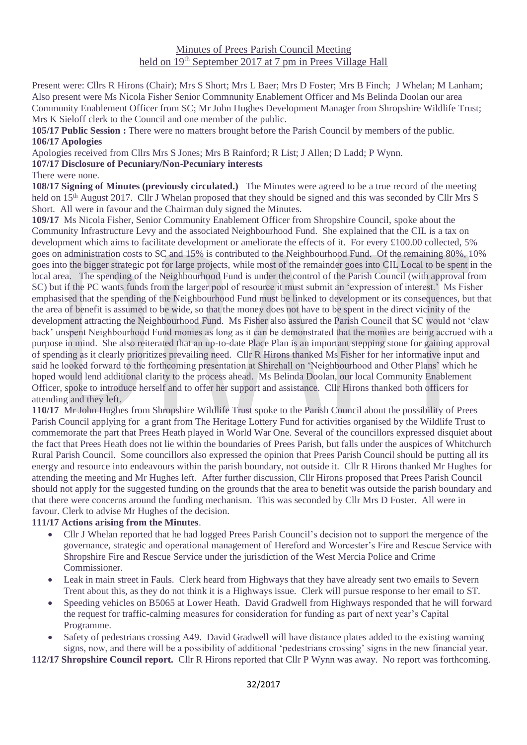Present were: Cllrs R Hirons (Chair); Mrs S Short; Mrs L Baer; Mrs D Foster; Mrs B Finch; J Whelan; M Lanham; Also present were Ms Nicola Fisher Senior Commnunity Enablement Officer and Ms Belinda Doolan our area Community Enablement Officer from SC; Mr John Hughes Development Manager from Shropshire Wildlife Trust; Mrs K Sieloff clerk to the Council and one member of the public.

**105/17 Public Session :** There were no matters brought before the Parish Council by members of the public. **106/17 Apologies**

Apologies received from Cllrs Mrs S Jones; Mrs B Rainford; R List; J Allen; D Ladd; P Wynn.

**107/17 Disclosure of Pecuniary/Non-Pecuniary interests**

There were none.

**108/17 Signing of Minutes (previously circulated.)** The Minutes were agreed to be a true record of the meeting held on 15<sup>th</sup> August 2017. Cllr J Whelan proposed that they should be signed and this was seconded by Cllr Mrs S Short. All were in favour and the Chairman duly signed the Minutes.

**109/17** Ms Nicola Fisher, Senior Community Enablement Officer from Shropshire Council, spoke about the Community Infrastructure Levy and the associated Neighbourhood Fund. She explained that the CIL is a tax on development which aims to facilitate development or ameliorate the effects of it. For every £100.00 collected, 5% goes on administration costs to SC and 15% is contributed to the Neighbourhood Fund. Of the remaining 80%, 10% goes into the bigger strategic pot for large projects, while most of the remainder goes into CIL Local to be spent in the local area. The spending of the Neighbourhood Fund is under the control of the Parish Council (with approval from SC) but if the PC wants funds from the larger pool of resource it must submit an 'expression of interest.' Ms Fisher emphasised that the spending of the Neighbourhood Fund must be linked to development or its consequences, but that the area of benefit is assumed to be wide, so that the money does not have to be spent in the direct vicinity of the development attracting the Neighbourhood Fund. Ms Fisher also assured the Parish Council that SC would not 'claw back' unspent Neighbourhood Fund monies as long as it can be demonstrated that the monies are being accrued with a purpose in mind. She also reiterated that an up-to-date Place Plan is an important stepping stone for gaining approval of spending as it clearly prioritizes prevailing need. Cllr R Hirons thanked Ms Fisher for her informative input and said he looked forward to the forthcoming presentation at Shirehall on 'Neighbourhood and Other Plans' which he hoped would lend additional clarity to the process ahead. Ms Belinda Doolan, our local Community Enablement Officer, spoke to introduce herself and to offer her support and assistance. Cllr Hirons thanked both officers for attending and they left.

**110/17** Mr John Hughes from Shropshire Wildlife Trust spoke to the Parish Council about the possibility of Prees Parish Council applying for a grant from The Heritage Lottery Fund for activities organised by the Wildlife Trust to commemorate the part that Prees Heath played in World War One. Several of the councillors expressed disquiet about the fact that Prees Heath does not lie within the boundaries of Prees Parish, but falls under the auspices of Whitchurch Rural Parish Council. Some councillors also expressed the opinion that Prees Parish Council should be putting all its energy and resource into endeavours within the parish boundary, not outside it. Cllr R Hirons thanked Mr Hughes for attending the meeting and Mr Hughes left. After further discussion, Cllr Hirons proposed that Prees Parish Council should not apply for the suggested funding on the grounds that the area to benefit was outside the parish boundary and that there were concerns around the funding mechanism. This was seconded by Cllr Mrs D Foster. All were in favour. Clerk to advise Mr Hughes of the decision.

### **111/17 Actions arising from the Minutes**.

- Cllr J Whelan reported that he had logged Prees Parish Council's decision not to support the mergence of the governance, strategic and operational management of Hereford and Worcester's Fire and Rescue Service with Shropshire Fire and Rescue Service under the jurisdiction of the West Mercia Police and Crime Commissioner.
- Leak in main street in Fauls. Clerk heard from Highways that they have already sent two emails to Severn Trent about this, as they do not think it is a Highways issue. Clerk will pursue response to her email to ST.
- Speeding vehicles on B5065 at Lower Heath. David Gradwell from Highways responded that he will forward the request for traffic-calming measures for consideration for funding as part of next year's Capital Programme.
- Safety of pedestrians crossing A49. David Gradwell will have distance plates added to the existing warning signs, now, and there will be a possibility of additional 'pedestrians crossing' signs in the new financial year.

**112/17 Shropshire Council report.** Cllr R Hirons reported that Cllr P Wynn was away. No report was forthcoming.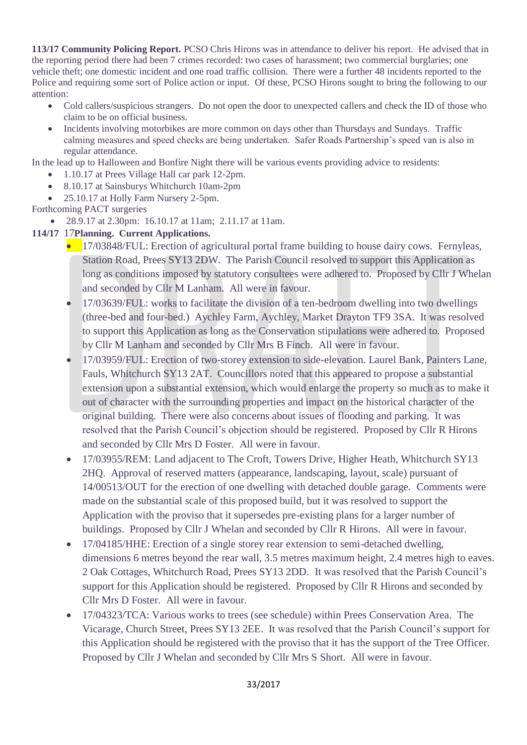**113/17 Community Policing Report.** PCSO Chris Hirons was in attendance to deliver his report. He advised that in the reporting period there had been 7 crimes recorded: two cases of harassment; two commercial burglaries; one vehicle theft; one domestic incident and one road traffic collision. There were a further 48 incidents reported to the Police and requiring some sort of Police action or input. Of these, PCSO Hirons sought to bring the following to our attention:

- Cold callers/suspicious strangers. Do not open the door to unexpected callers and check the ID of those who claim to be on official business.
- Incidents involving motorbikes are more common on days other than Thursdays and Sundays. Traffic calming measures and speed checks are being undertaken. Safer Roads Partnership's speed van is also in regular attendance.

In the lead up to Halloween and Bonfire Night there will be various events providing advice to residents:

- 1.10.17 at Prees Village Hall car park 12-2pm.
- 8.10.17 at Sainsburys Whitchurch 10am-2pm
- 25.10.17 at Holly Farm Nursery 2-5pm.

Forthcoming PACT surgeries

• 28.9.17 at 2.30pm: 16.10.17 at 11am; 2.11.17 at 11am.

### **114/17** 17**Planning. Current Applications.**

- 17/03848/FUL: Erection of agricultural portal frame building to house dairy cows. Fernyleas, Station Road, Prees SY13 2DW. The Parish Council resolved to support this Application as long as conditions imposed by statutory consultees were adhered to. Proposed by Cllr J Whelan and seconded by Cllr M Lanham. All were in favour.
- 17/03639/FUL: works to facilitate the division of a ten-bedroom dwelling into two dwellings (three-bed and four-bed.) Aychley Farm, Aychley, Market Drayton TF9 3SA. It was resolved to support this Application as long as the Conservation stipulations were adhered to. Proposed by Cllr M Lanham and seconded by Cllr Mrs B Finch. All were in favour.
- 17/03959/FUL: Erection of two-storey extension to side-elevation. Laurel Bank, Painters Lane, Fauls, Whitchurch SY13 2AT. Councillors noted that this appeared to propose a substantial extension upon a substantial extension, which would enlarge the property so much as to make it out of character with the surrounding properties and impact on the historical character of the original building. There were also concerns about issues of flooding and parking. It was resolved that the Parish Council's objection should be registered. Proposed by Cllr R Hirons and seconded by Cllr Mrs D Foster. All were in favour.
- 17/03955/REM: Land adjacent to The Croft, Towers Drive, Higher Heath, Whitchurch SY13 2HQ. Approval of reserved matters (appearance, landscaping, layout, scale) pursuant of 14/00513/OUT for the erection of one dwelling with detached double garage. Comments were made on the substantial scale of this proposed build, but it was resolved to support the Application with the proviso that it supersedes pre-existing plans for a larger number of buildings. Proposed by Cllr J Whelan and seconded by Cllr R Hirons. All were in favour.
- 17/04185/HHE: Erection of a single storey rear extension to semi-detached dwelling, dimensions 6 metres beyond the rear wall, 3.5 metres maximum height, 2.4 metres high to eaves. 2 Oak Cottages, Whitchurch Road, Prees SY13 2DD. It was resolved that the Parish Council's support for this Application should be registered. Proposed by Cllr R Hirons and seconded by Cllr Mrs D Foster. All were in favour.
- 17/04323/TCA: Various works to trees (see schedule) within Prees Conservation Area. The Vicarage, Church Street, Prees SY13 2EE. It was resolved that the Parish Council's support for this Application should be registered with the proviso that it has the support of the Tree Officer. Proposed by Cllr J Whelan and seconded by Cllr Mrs S Short. All were in favour.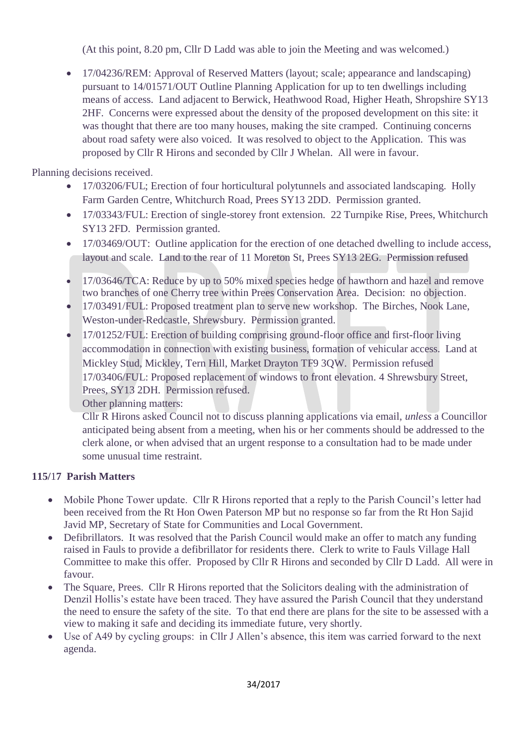(At this point, 8.20 pm, Cllr D Ladd was able to join the Meeting and was welcomed.)

• 17/04236/REM: Approval of Reserved Matters (layout; scale; appearance and landscaping) pursuant to 14/01571/OUT Outline Planning Application for up to ten dwellings including means of access. Land adjacent to Berwick, Heathwood Road, Higher Heath, Shropshire SY13 2HF. Concerns were expressed about the density of the proposed development on this site: it was thought that there are too many houses, making the site cramped. Continuing concerns about road safety were also voiced. It was resolved to object to the Application. This was proposed by Cllr R Hirons and seconded by Cllr J Whelan. All were in favour.

Planning decisions received.

- 17/03206/FUL; Erection of four horticultural polytunnels and associated landscaping. Holly Farm Garden Centre, Whitchurch Road, Prees SY13 2DD. Permission granted.
- 17/03343/FUL: Erection of single-storey front extension. 22 Turnpike Rise, Prees, Whitchurch SY13 2FD. Permission granted.
- 17/03469/OUT: Outline application for the erection of one detached dwelling to include access, layout and scale. Land to the rear of 11 Moreton St, Prees SY13 2EG. Permission refused
- 17/03646/TCA: Reduce by up to 50% mixed species hedge of hawthorn and hazel and remove two branches of one Cherry tree within Prees Conservation Area. Decision: no objection.
- 17/03491/FUL: Proposed treatment plan to serve new workshop. The Birches, Nook Lane, Weston-under-Redcastle, Shrewsbury. Permission granted.
- 17/01252/FUL: Erection of building comprising ground-floor office and first-floor living accommodation in connection with existing business, formation of vehicular access. Land at Mickley Stud, Mickley, Tern Hill, Market Drayton TF9 3QW. Permission refused 17/03406/FUL: Proposed replacement of windows to front elevation. 4 Shrewsbury Street, Prees, SY13 2DH. Permission refused.

Other planning matters:

Cllr R Hirons asked Council not to discuss planning applications via email, *unless* a Councillor anticipated being absent from a meeting, when his or her comments should be addressed to the clerk alone, or when advised that an urgent response to a consultation had to be made under some unusual time restraint.

# **115/**1**7 Parish Matters**

- Mobile Phone Tower update. Cllr R Hirons reported that a reply to the Parish Council's letter had been received from the Rt Hon Owen Paterson MP but no response so far from the Rt Hon Sajid Javid MP, Secretary of State for Communities and Local Government.
- Defibrillators. It was resolved that the Parish Council would make an offer to match any funding raised in Fauls to provide a defibrillator for residents there. Clerk to write to Fauls Village Hall Committee to make this offer. Proposed by Cllr R Hirons and seconded by Cllr D Ladd. All were in favour.
- The Square, Prees. Cllr R Hirons reported that the Solicitors dealing with the administration of Denzil Hollis's estate have been traced. They have assured the Parish Council that they understand the need to ensure the safety of the site. To that end there are plans for the site to be assessed with a view to making it safe and deciding its immediate future, very shortly.
- Use of A49 by cycling groups: in Cllr J Allen's absence, this item was carried forward to the next agenda.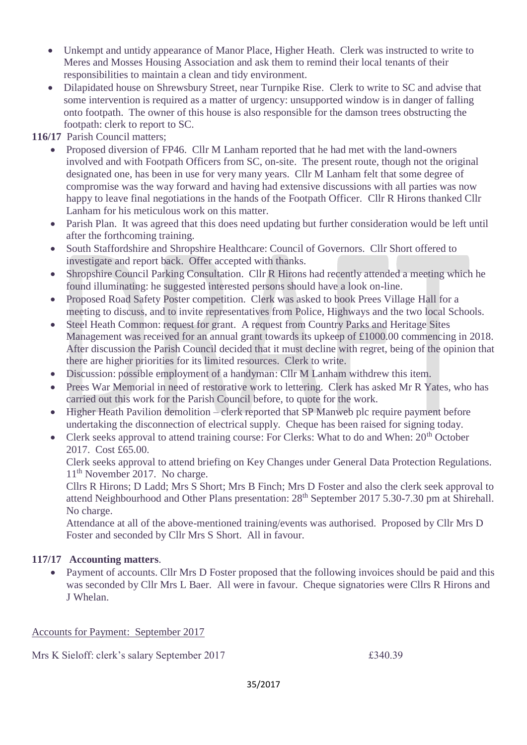- Unkempt and untidy appearance of Manor Place, Higher Heath. Clerk was instructed to write to Meres and Mosses Housing Association and ask them to remind their local tenants of their responsibilities to maintain a clean and tidy environment.
- Dilapidated house on Shrewsbury Street, near Turnpike Rise. Clerk to write to SC and advise that some intervention is required as a matter of urgency: unsupported window is in danger of falling onto footpath. The owner of this house is also responsible for the damson trees obstructing the footpath: clerk to report to SC.

**116/17** Parish Council matters;

- Proposed diversion of FP46. Cllr M Lanham reported that he had met with the land-owners involved and with Footpath Officers from SC, on-site. The present route, though not the original designated one, has been in use for very many years. Cllr M Lanham felt that some degree of compromise was the way forward and having had extensive discussions with all parties was now happy to leave final negotiations in the hands of the Footpath Officer. Cllr R Hirons thanked Cllr Lanham for his meticulous work on this matter.
- Parish Plan. It was agreed that this does need updating but further consideration would be left until after the forthcoming training.
- South Staffordshire and Shropshire Healthcare: Council of Governors. Cllr Short offered to investigate and report back. Offer accepted with thanks.
- Shropshire Council Parking Consultation. Cllr R Hirons had recently attended a meeting which he found illuminating: he suggested interested persons should have a look on-line.
- Proposed Road Safety Poster competition. Clerk was asked to book Prees Village Hall for a meeting to discuss, and to invite representatives from Police, Highways and the two local Schools.
- Steel Heath Common: request for grant. A request from Country Parks and Heritage Sites Management was received for an annual grant towards its upkeep of £1000.00 commencing in 2018. After discussion the Parish Council decided that it must decline with regret, being of the opinion that there are higher priorities for its limited resources. Clerk to write.
- Discussion: possible employment of a handyman: Cllr M Lanham withdrew this item.
- Prees War Memorial in need of restorative work to lettering. Clerk has asked Mr R Yates, who has carried out this work for the Parish Council before, to quote for the work.
- Higher Heath Pavilion demolition clerk reported that SP Manweb plc require payment before undertaking the disconnection of electrical supply. Cheque has been raised for signing today.
- Clerk seeks approval to attend training course: For Clerks: What to do and When:  $20<sup>th</sup>$  October 2017. Cost £65.00.

Clerk seeks approval to attend briefing on Key Changes under General Data Protection Regulations. 11<sup>th</sup> November 2017. No charge.

Cllrs R Hirons; D Ladd; Mrs S Short; Mrs B Finch; Mrs D Foster and also the clerk seek approval to attend Neighbourhood and Other Plans presentation: 28<sup>th</sup> September 2017 5.30-7.30 pm at Shirehall. No charge.

Attendance at all of the above-mentioned training/events was authorised. Proposed by Cllr Mrs D Foster and seconded by Cllr Mrs S Short. All in favour.

## **117/17 Accounting matters**.

• Payment of accounts. Cllr Mrs D Foster proposed that the following invoices should be paid and this was seconded by Cllr Mrs L Baer. All were in favour. Cheque signatories were Cllrs R Hirons and J Whelan.

Accounts for Payment: September 2017

Mrs K Sieloff: clerk's salary September 2017 **£340.39**